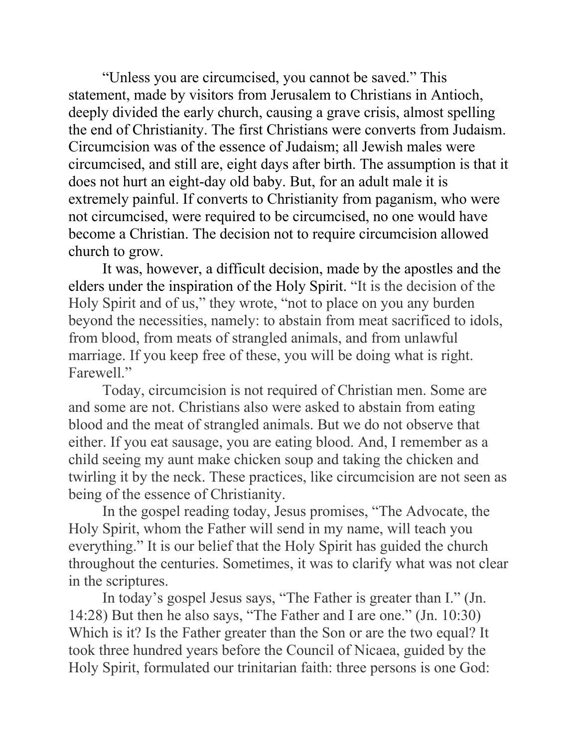"Unless you are circumcised, you cannot be saved." This statement, made by visitors from Jerusalem to Christians in Antioch, deeply divided the early church, causing a grave crisis, almost spelling the end of Christianity. The first Christians were converts from Judaism. Circumcision was of the essence of Judaism; all Jewish males were circumcised, and still are, eight days after birth. The assumption is that it does not hurt an eight-day old baby. But, for an adult male it is extremely painful. If converts to Christianity from paganism, who were not circumcised, were required to be circumcised, no one would have become a Christian. The decision not to require circumcision allowed church to grow.

It was, however, a difficult decision, made by the apostles and the elders under the inspiration of the Holy Spirit. "It is the decision of the Holy Spirit and of us," they wrote, "not to place on you any burden beyond the necessities, namely: to abstain from meat sacrificed to idols, from blood, from meats of strangled animals, and from unlawful marriage. If you keep free of these, you will be doing what is right. Farewell."

Today, circumcision is not required of Christian men. Some are and some are not. Christians also were asked to abstain from eating blood and the meat of strangled animals. But we do not observe that either. If you eat sausage, you are eating blood. And, I remember as a child seeing my aunt make chicken soup and taking the chicken and twirling it by the neck. These practices, like circumcision are not seen as being of the essence of Christianity.

In the gospel reading today, Jesus promises, "The Advocate, the Holy Spirit, whom the Father will send in my name, will teach you everything." It is our belief that the Holy Spirit has guided the church throughout the centuries. Sometimes, it was to clarify what was not clear in the scriptures.

In today's gospel Jesus says, "The Father is greater than I." (Jn. 14:28) But then he also says, "The Father and I are one." (Jn. 10:30) Which is it? Is the Father greater than the Son or are the two equal? It took three hundred years before the Council of Nicaea, guided by the Holy Spirit, formulated our trinitarian faith: three persons is one God: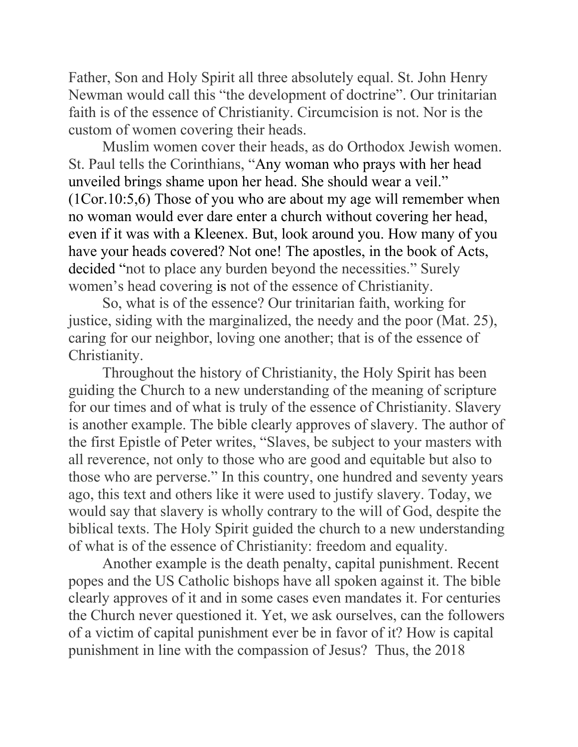Father, Son and Holy Spirit all three absolutely equal. St. John Henry Newman would call this "the development of doctrine". Our trinitarian faith is of the essence of Christianity. Circumcision is not. Nor is the custom of women covering their heads.

Muslim women cover their heads, as do Orthodox Jewish women. St. Paul tells the Corinthians, "Any woman who prays with her head unveiled brings shame upon her head. She should wear a veil." (1Cor.10:5,6) Those of you who are about my age will remember when no woman would ever dare enter a church without covering her head, even if it was with a Kleenex. But, look around you. How many of you have your heads covered? Not one! The apostles, in the book of Acts, decided "not to place any burden beyond the necessities." Surely women's head covering is not of the essence of Christianity.

So, what is of the essence? Our trinitarian faith, working for justice, siding with the marginalized, the needy and the poor (Mat. 25), caring for our neighbor, loving one another; that is of the essence of Christianity.

Throughout the history of Christianity, the Holy Spirit has been guiding the Church to a new understanding of the meaning of scripture for our times and of what is truly of the essence of Christianity. Slavery is another example. The bible clearly approves of slavery. The author of the first Epistle of Peter writes, "Slaves, be subject to your masters with all reverence, not only to those who are good and equitable but also to those who are perverse." In this country, one hundred and seventy years ago, this text and others like it were used to justify slavery. Today, we would say that slavery is wholly contrary to the will of God, despite the biblical texts. The Holy Spirit guided the church to a new understanding of what is of the essence of Christianity: freedom and equality.

Another example is the death penalty, capital punishment. Recent popes and the US Catholic bishops have all spoken against it. The bible clearly approves of it and in some cases even mandates it. For centuries the Church never questioned it. Yet, we ask ourselves, can the followers of a victim of capital punishment ever be in favor of it? How is capital punishment in line with the compassion of Jesus? Thus, the 2018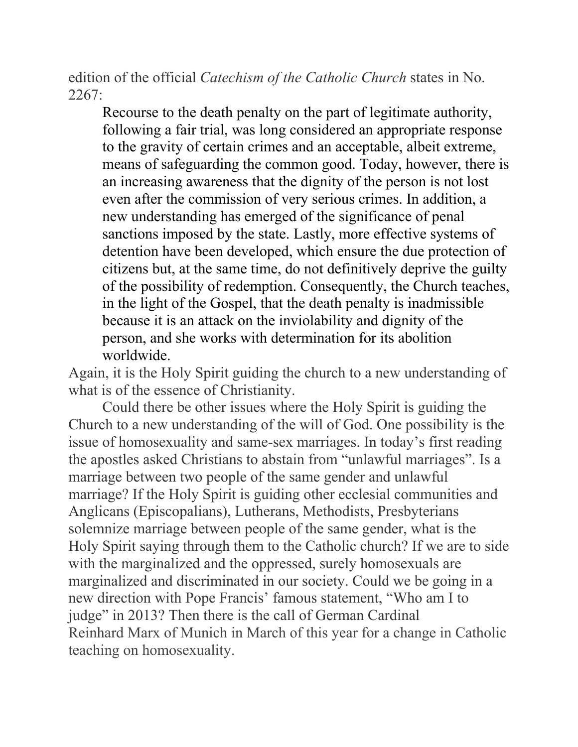edition of the official *Catechism of the Catholic Church* states in No. 2267:

Recourse to the death penalty on the part of legitimate authority, following a fair trial, was long considered an appropriate response to the gravity of certain crimes and an acceptable, albeit extreme, means of safeguarding the common good. Today, however, there is an increasing awareness that the dignity of the person is not lost even after the commission of very serious crimes. In addition, a new understanding has emerged of the significance of penal sanctions imposed by the state. Lastly, more effective systems of detention have been developed, which ensure the due protection of citizens but, at the same time, do not definitively deprive the guilty of the possibility of redemption. Consequently, the Church teaches, in the light of the Gospel, that the death penalty is inadmissible because it is an attack on the inviolability and dignity of the person, and she works with determination for its abolition worldwide.

Again, it is the Holy Spirit guiding the church to a new understanding of what is of the essence of Christianity.

Could there be other issues where the Holy Spirit is guiding the Church to a new understanding of the will of God. One possibility is the issue of homosexuality and same-sex marriages. In today's first reading the apostles asked Christians to abstain from "unlawful marriages". Is a marriage between two people of the same gender and unlawful marriage? If the Holy Spirit is guiding other ecclesial communities and Anglicans (Episcopalians), Lutherans, Methodists, Presbyterians solemnize marriage between people of the same gender, what is the Holy Spirit saying through them to the Catholic church? If we are to side with the marginalized and the oppressed, surely homosexuals are marginalized and discriminated in our society. Could we be going in a new direction with Pope Francis' famous statement, "Who am I to judge" in 2013? Then there is the call of German Cardinal Reinhard Marx of Munich in March of this year for a change in Catholic teaching on homosexuality.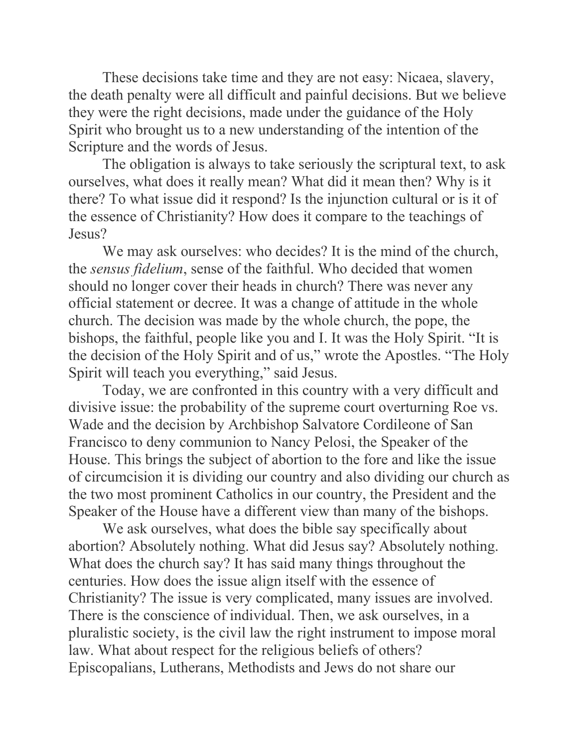These decisions take time and they are not easy: Nicaea, slavery, the death penalty were all difficult and painful decisions. But we believe they were the right decisions, made under the guidance of the Holy Spirit who brought us to a new understanding of the intention of the Scripture and the words of Jesus.

The obligation is always to take seriously the scriptural text, to ask ourselves, what does it really mean? What did it mean then? Why is it there? To what issue did it respond? Is the injunction cultural or is it of the essence of Christianity? How does it compare to the teachings of Jesus?

We may ask ourselves: who decides? It is the mind of the church, the *sensus fidelium*, sense of the faithful. Who decided that women should no longer cover their heads in church? There was never any official statement or decree. It was a change of attitude in the whole church. The decision was made by the whole church, the pope, the bishops, the faithful, people like you and I. It was the Holy Spirit. "It is the decision of the Holy Spirit and of us," wrote the Apostles. "The Holy Spirit will teach you everything," said Jesus.

Today, we are confronted in this country with a very difficult and divisive issue: the probability of the supreme court overturning Roe vs. Wade and the decision by Archbishop Salvatore Cordileone of San Francisco to deny communion to Nancy Pelosi, the Speaker of the House. This brings the subject of abortion to the fore and like the issue of circumcision it is dividing our country and also dividing our church as the two most prominent Catholics in our country, the President and the Speaker of the House have a different view than many of the bishops.

We ask ourselves, what does the bible say specifically about abortion? Absolutely nothing. What did Jesus say? Absolutely nothing. What does the church say? It has said many things throughout the centuries. How does the issue align itself with the essence of Christianity? The issue is very complicated, many issues are involved. There is the conscience of individual. Then, we ask ourselves, in a pluralistic society, is the civil law the right instrument to impose moral law. What about respect for the religious beliefs of others? Episcopalians, Lutherans, Methodists and Jews do not share our